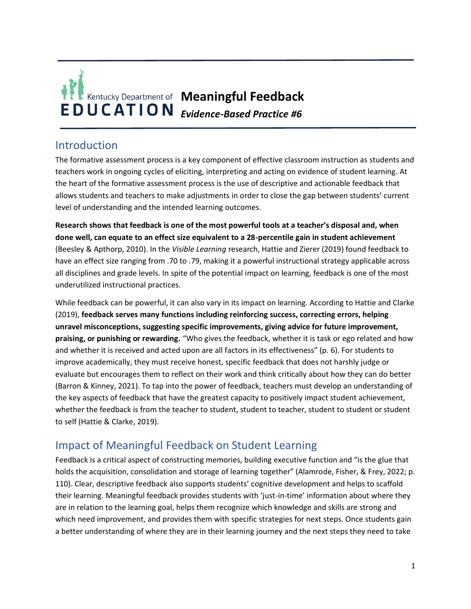

# Introduction

The formative assessment process is a key component of effective classroom instruction as students and teachers work in ongoing cycles of eliciting, interpreting and acting on evidence of student learning. At the heart of the formative assessment process is the use of descriptive and actionable feedback that allows students and teachers to make adjustments in order to close the gap between students' current level of understanding and the intended learning outcomes.

**Research shows that feedback is one of the most powerful tools at a teacher's disposal and, when done well, can equate to an effect size equivalent to a 28-percentile gain in student achievement**  (Beesley & Apthorp, 2010). In the *Visible Learning* research, Hattie and Zierer (2019) found feedback to have an effect size ranging from .70 to .79, making it a powerful instructional strategy applicable across all disciplines and grade levels. In spite of the potential impact on learning, feedback is one of the most underutilized instructional practices.

While feedback can be powerful, it can also vary in its impact on learning. According to Hattie and Clarke (2019), **feedback serves many functions including reinforcing success, correcting errors, helping unravel misconceptions, suggesting specific improvements, giving advice for future improvement, praising, or punishing or rewarding.** "Who gives the feedback, whether it is task or ego related and how and whether it is received and acted upon are all factors in its effectiveness" (p. 6). For students to improve academically, they must receive honest, specific feedback that does not harshly judge or evaluate but encourages them to reflect on their work and think critically about how they can do better (Barron & Kinney, 2021). To tap into the power of feedback, teachers must develop an understanding of the key aspects of feedback that have the greatest capacity to positively impact student achievement, whether the feedback is from the teacher to student, student to teacher, student to student or student to self (Hattie & Clarke, 2019).

# Impact of Meaningful Feedback on Student Learning

Feedback is a critical aspect of constructing memories, building executive function and "is the glue that holds the acquisition, consolidation and storage of learning together" (Alamrode, Fisher, & Frey, 2022; p. 110). Clear, descriptive feedback also supports students' cognitive development and helps to scaffold their learning. Meaningful feedback provides students with 'just-in-time' information about where they are in relation to the learning goal, helps them recognize which knowledge and skills are strong and which need improvement, and provides them with specific strategies for next steps. Once students gain a better understanding of where they are in their learning journey and the next steps they need to take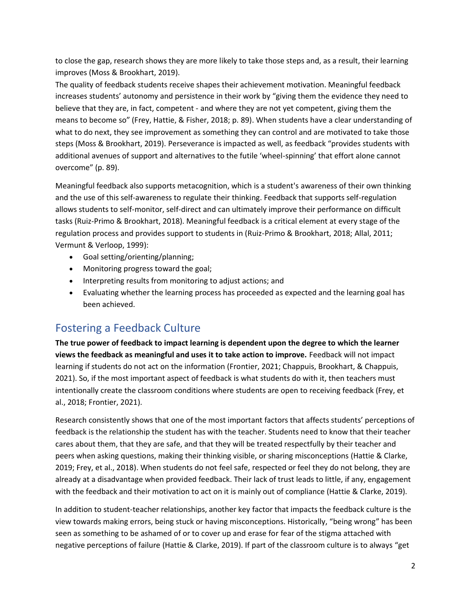to close the gap, research shows they are more likely to take those steps and, as a result, their learning improves (Moss & Brookhart, 2019).

The quality of feedback students receive shapes their achievement motivation. Meaningful feedback increases students' autonomy and persistence in their work by "giving them the evidence they need to believe that they are, in fact, competent - and where they are not yet competent, giving them the means to become so" (Frey, Hattie, & Fisher, 2018; p. 89). When students have a clear understanding of what to do next, they see improvement as something they can control and are motivated to take those steps (Moss & Brookhart, 2019). Perseverance is impacted as well, as feedback "provides students with additional avenues of support and alternatives to the futile 'wheel-spinning' that effort alone cannot overcome" (p. 89).

Meaningful feedback also supports metacognition, which is a student's awareness of their own thinking and the use of this self-awareness to regulate their thinking. Feedback that supports self-regulation allows students to self-monitor, self-direct and can ultimately improve their performance on difficult tasks (Ruiz-Primo & Brookhart, 2018). Meaningful feedback is a critical element at every stage of the regulation process and provides support to students in (Ruiz-Primo & Brookhart, 2018; Allal, 2011; Vermunt & Verloop, 1999):

- Goal setting/orienting/planning;
- Monitoring progress toward the goal;
- Interpreting results from monitoring to adjust actions; and
- Evaluating whether the learning process has proceeded as expected and the learning goal has been achieved.

## Fostering a Feedback Culture

**The true power of feedback to impact learning is dependent upon the degree to which the learner views the feedback as meaningful and uses it to take action to improve.** Feedback will not impact learning if students do not act on the information (Frontier, 2021; Chappuis, Brookhart, & Chappuis, 2021). So, if the most important aspect of feedback is what students do with it, then teachers must intentionally create the classroom conditions where students are open to receiving feedback (Frey, et al., 2018; Frontier, 2021).

Research consistently shows that one of the most important factors that affects students' perceptions of feedback is the relationship the student has with the teacher. Students need to know that their teacher cares about them, that they are safe, and that they will be treated respectfully by their teacher and peers when asking questions, making their thinking visible, or sharing misconceptions (Hattie & Clarke, 2019; Frey, et al., 2018). When students do not feel safe, respected or feel they do not belong, they are already at a disadvantage when provided feedback. Their lack of trust leads to little, if any, engagement with the feedback and their motivation to act on it is mainly out of compliance (Hattie & Clarke, 2019).

In addition to student-teacher relationships, another key factor that impacts the feedback culture is the view towards making errors, being stuck or having misconceptions. Historically, "being wrong" has been seen as something to be ashamed of or to cover up and erase for fear of the stigma attached with negative perceptions of failure (Hattie & Clarke, 2019). If part of the classroom culture is to always "get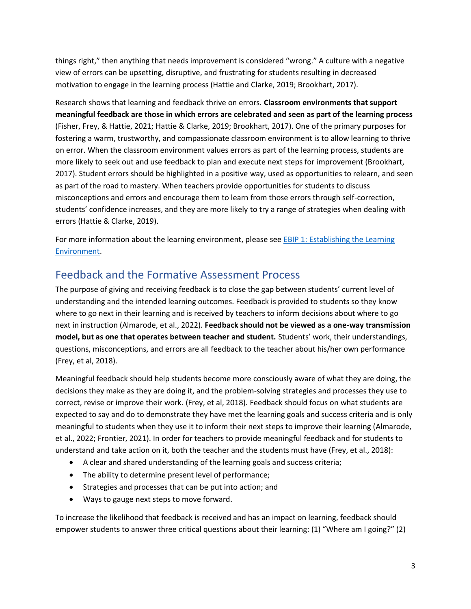things right," then anything that needs improvement is considered "wrong." A culture with a negative view of errors can be upsetting, disruptive, and frustrating for students resulting in decreased motivation to engage in the learning process (Hattie and Clarke, 2019; Brookhart, 2017).

Research shows that learning and feedback thrive on errors. **Classroom environments that support meaningful feedback are those in which errors are celebrated and seen as part of the learning process** (Fisher, Frey, & Hattie, 2021; Hattie & Clarke, 2019; Brookhart, 2017). One of the primary purposes for fostering a warm, trustworthy, and compassionate classroom environment is to allow learning to thrive on error. When the classroom environment values errors as part of the learning process, students are more likely to seek out and use feedback to plan and execute next steps for improvement (Brookhart, 2017). Student errors should be highlighted in a positive way, used as opportunities to relearn, and seen as part of the road to mastery. When teachers provide opportunities for students to discuss misconceptions and errors and encourage them to learn from those errors through self-correction, students' confidence increases, and they are more likely to try a range of strategies when dealing with errors (Hattie & Clarke, 2019).

For more information about the learning environment, please see EBIP 1: Establishing the Learning [Environment.](https://education.ky.gov/curriculum/standards/kyacadstand/Documents/EBIP_1_Establishing_the_Learning_Environment.pdf)

## Feedback and the Formative Assessment Process

The purpose of giving and receiving feedback is to close the gap between students' current level of understanding and the intended learning outcomes. Feedback is provided to students so they know where to go next in their learning and is received by teachers to inform decisions about where to go next in instruction (Almarode, et al., 2022). **Feedback should not be viewed as a one-way transmission model, but as one that operates between teacher and student.** Students' work, their understandings, questions, misconceptions, and errors are all feedback to the teacher about his/her own performance (Frey, et al, 2018).

Meaningful feedback should help students become more consciously aware of what they are doing, the decisions they make as they are doing it, and the problem-solving strategies and processes they use to correct, revise or improve their work. (Frey, et al, 2018). Feedback should focus on what students are expected to say and do to demonstrate they have met the learning goals and success criteria and is only meaningful to students when they use it to inform their next steps to improve their learning (Almarode, et al., 2022; Frontier, 2021). In order for teachers to provide meaningful feedback and for students to understand and take action on it, both the teacher and the students must have (Frey, et al., 2018):

- A clear and shared understanding of the learning goals and success criteria;
- The ability to determine present level of performance;
- Strategies and processes that can be put into action; and
- Ways to gauge next steps to move forward.

To increase the likelihood that feedback is received and has an impact on learning, feedback should empower students to answer three critical questions about their learning: (1) "Where am I going?" (2)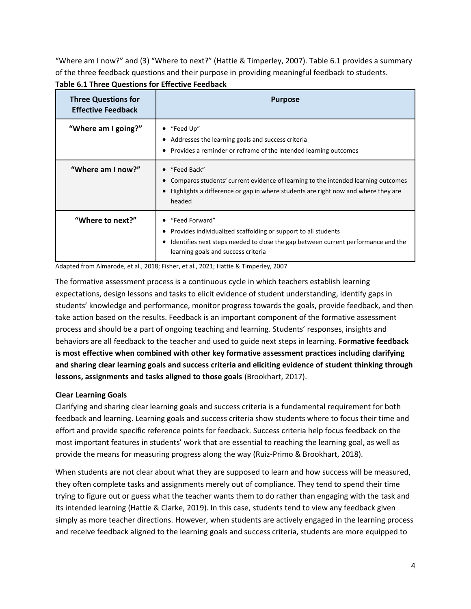"Where am I now?" and (3) "Where to next?" (Hattie & Timperley, 2007). Table 6.1 provides a summary of the three feedback questions and their purpose in providing meaningful feedback to students. **Table 6.1 Three Questions for Effective Feedback**

| <b>Three Questions for</b><br><b>Effective Feedback</b> | <b>Purpose</b>                                                                                                                                                                                                    |
|---------------------------------------------------------|-------------------------------------------------------------------------------------------------------------------------------------------------------------------------------------------------------------------|
| "Where am I going?"                                     | "Feed Up"<br>Addresses the learning goals and success criteria<br>Provides a reminder or reframe of the intended learning outcomes                                                                                |
| "Where am I now?"                                       | "Feed Back"<br>Compares students' current evidence of learning to the intended learning outcomes<br>Highlights a difference or gap in where students are right now and where they are<br>headed                   |
| "Where to next?"                                        | "Feed Forward"<br>Provides individualized scaffolding or support to all students<br>Identifies next steps needed to close the gap between current performance and the<br>٠<br>learning goals and success criteria |

Adapted from Almarode, et al., 2018; Fisher, et al., 2021; Hattie & Timperley, 2007

The formative assessment process is a continuous cycle in which teachers establish learning expectations, design lessons and tasks to elicit evidence of student understanding, identify gaps in students' knowledge and performance, monitor progress towards the goals, provide feedback, and then take action based on the results. Feedback is an important component of the formative assessment process and should be a part of ongoing teaching and learning. Students' responses, insights and behaviors are all feedback to the teacher and used to guide next steps in learning. **Formative feedback is most effective when combined with other key formative assessment practices including clarifying and sharing clear learning goals and success criteria and eliciting evidence of student thinking through lessons, assignments and tasks aligned to those goals** (Brookhart, 2017).

#### **Clear Learning Goals**

Clarifying and sharing clear learning goals and success criteria is a fundamental requirement for both feedback and learning. Learning goals and success criteria show students where to focus their time and effort and provide specific reference points for feedback. Success criteria help focus feedback on the most important features in students' work that are essential to reaching the learning goal, as well as provide the means for measuring progress along the way (Ruiz-Primo & Brookhart, 2018).

When students are not clear about what they are supposed to learn and how success will be measured, they often complete tasks and assignments merely out of compliance. They tend to spend their time trying to figure out or guess what the teacher wants them to do rather than engaging with the task and its intended learning (Hattie & Clarke, 2019). In this case, students tend to view any feedback given simply as more teacher directions. However, when students are actively engaged in the learning process and receive feedback aligned to the learning goals and success criteria, students are more equipped to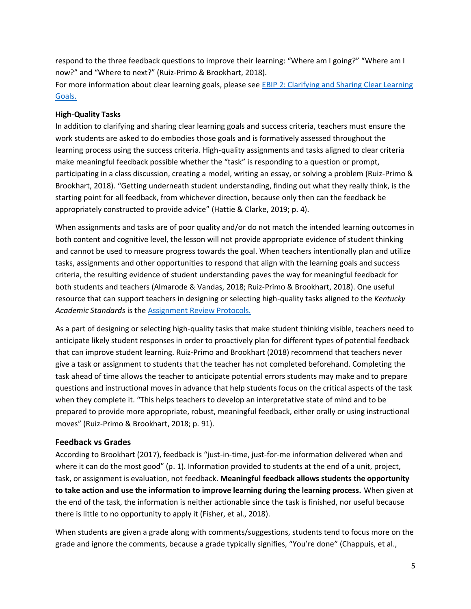respond to the three feedback questions to improve their learning: "Where am I going?" "Where am I now?" and "Where to next?" (Ruiz-Primo & Brookhart, 2018).

For more information about clear learning goals, please see EBIP 2: Clarifying and Sharing Clear Learning [Goals.](https://education.ky.gov/curriculum/standards/kyacadstand/Documents/EBIP_2_Clarifying_and_Sharing_Clear_Learning_Goals.pdf)

#### **High-Quality Tasks**

In addition to clarifying and sharing clear learning goals and success criteria, teachers must ensure the work students are asked to do embodies those goals and is formatively assessed throughout the learning process using the success criteria. High-quality assignments and tasks aligned to clear criteria make meaningful feedback possible whether the "task" is responding to a question or prompt, participating in a class discussion, creating a model, writing an essay, or solving a problem (Ruiz-Primo & Brookhart, 2018). "Getting underneath student understanding, finding out what they really think, is the starting point for all feedback, from whichever direction, because only then can the feedback be appropriately constructed to provide advice" (Hattie & Clarke, 2019; p. 4).

When assignments and tasks are of poor quality and/or do not match the intended learning outcomes in both content and cognitive level, the lesson will not provide appropriate evidence of student thinking and cannot be used to measure progress towards the goal. When teachers intentionally plan and utilize tasks, assignments and other opportunities to respond that align with the learning goals and success criteria, the resulting evidence of student understanding paves the way for meaningful feedback for both students and teachers (Almarode & Vandas, 2018; Ruiz-Primo & Brookhart, 2018). One useful resource that can support teachers in designing or selecting high-quality tasks aligned to the *Kentucky Academic Standards* is the [Assignment Review Protocols.](https://kystandards.org/standards-resources/assignment-review-protocols/)

As a part of designing or selecting high-quality tasks that make student thinking visible, teachers need to anticipate likely student responses in order to proactively plan for different types of potential feedback that can improve student learning. Ruiz-Primo and Brookhart (2018) recommend that teachers never give a task or assignment to students that the teacher has not completed beforehand. Completing the task ahead of time allows the teacher to anticipate potential errors students may make and to prepare questions and instructional moves in advance that help students focus on the critical aspects of the task when they complete it. "This helps teachers to develop an interpretative state of mind and to be prepared to provide more appropriate, robust, meaningful feedback, either orally or using instructional moves" (Ruiz-Primo & Brookhart, 2018; p. 91).

#### **Feedback vs Grades**

According to Brookhart (2017), feedback is "just-in-time, just-for-me information delivered when and where it can do the most good" (p. 1). Information provided to students at the end of a unit, project, task, or assignment is evaluation, not feedback. **Meaningful feedback allows students the opportunity to take action and use the information to improve learning during the learning process.** When given at the end of the task, the information is neither actionable since the task is finished, nor useful because there is little to no opportunity to apply it (Fisher, et al., 2018).

When students are given a grade along with comments/suggestions, students tend to focus more on the grade and ignore the comments, because a grade typically signifies, "You're done" (Chappuis, et al.,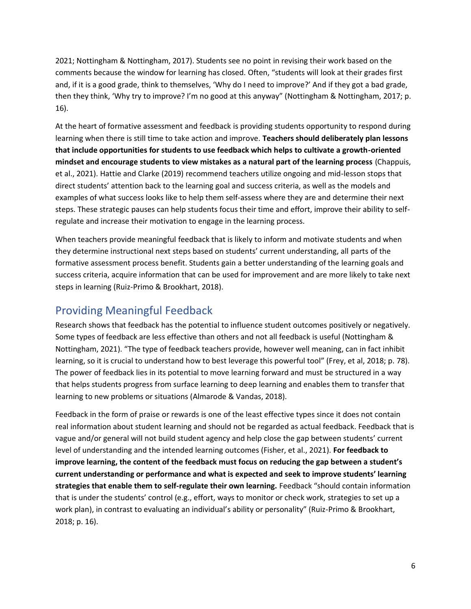2021; Nottingham & Nottingham, 2017). Students see no point in revising their work based on the comments because the window for learning has closed. Often, "students will look at their grades first and, if it is a good grade, think to themselves, 'Why do I need to improve?' And if they got a bad grade, then they think, 'Why try to improve? I'm no good at this anyway" (Nottingham & Nottingham, 2017; p. 16).

At the heart of formative assessment and feedback is providing students opportunity to respond during learning when there is still time to take action and improve. **Teachers should deliberately plan lessons that include opportunities for students to use feedback which helps to cultivate a growth-oriented mindset and encourage students to view mistakes as a natural part of the learning process** (Chappuis, et al., 2021). Hattie and Clarke (2019) recommend teachers utilize ongoing and mid-lesson stops that direct students' attention back to the learning goal and success criteria, as well as the models and examples of what success looks like to help them self-assess where they are and determine their next steps. These strategic pauses can help students focus their time and effort, improve their ability to selfregulate and increase their motivation to engage in the learning process.

When teachers provide meaningful feedback that is likely to inform and motivate students and when they determine instructional next steps based on students' current understanding, all parts of the formative assessment process benefit. Students gain a better understanding of the learning goals and success criteria, acquire information that can be used for improvement and are more likely to take next steps in learning (Ruiz-Primo & Brookhart, 2018).

## Providing Meaningful Feedback

Research shows that feedback has the potential to influence student outcomes positively or negatively. Some types of feedback are less effective than others and not all feedback is useful (Nottingham & Nottingham, 2021). "The type of feedback teachers provide, however well meaning, can in fact inhibit learning, so it is crucial to understand how to best leverage this powerful tool" (Frey, et al, 2018; p. 78). The power of feedback lies in its potential to move learning forward and must be structured in a way that helps students progress from surface learning to deep learning and enables them to transfer that learning to new problems or situations (Almarode & Vandas, 2018).

Feedback in the form of praise or rewards is one of the least effective types since it does not contain real information about student learning and should not be regarded as actual feedback. Feedback that is vague and/or general will not build student agency and help close the gap between students' current level of understanding and the intended learning outcomes (Fisher, et al., 2021). **For feedback to improve learning, the content of the feedback must focus on reducing the gap between a student's current understanding or performance and what is expected and seek to improve students' learning strategies that enable them to self-regulate their own learning.** Feedback "should contain information that is under the students' control (e.g., effort, ways to monitor or check work, strategies to set up a work plan), in contrast to evaluating an individual's ability or personality" (Ruiz-Primo & Brookhart, 2018; p. 16).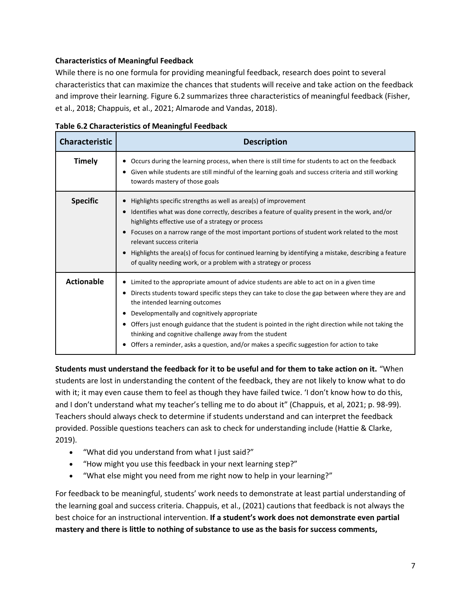#### **Characteristics of Meaningful Feedback**

While there is no one formula for providing meaningful feedback, research does point to several characteristics that can maximize the chances that students will receive and take action on the feedback and improve their learning. Figure 6.2 summarizes three characteristics of meaningful feedback (Fisher, et al., 2018; Chappuis, et al., 2021; Almarode and Vandas, 2018).

| <b>Characteristic</b> | <b>Description</b>                                                                                                                                                                                                                                                                                                                                                                                                                                                                                                                              |
|-----------------------|-------------------------------------------------------------------------------------------------------------------------------------------------------------------------------------------------------------------------------------------------------------------------------------------------------------------------------------------------------------------------------------------------------------------------------------------------------------------------------------------------------------------------------------------------|
| <b>Timely</b>         | Occurs during the learning process, when there is still time for students to act on the feedback<br>Given while students are still mindful of the learning goals and success criteria and still working<br>towards mastery of those goals                                                                                                                                                                                                                                                                                                       |
| <b>Specific</b>       | Highlights specific strengths as well as area(s) of improvement<br>Identifies what was done correctly, describes a feature of quality present in the work, and/or<br>$\bullet$<br>highlights effective use of a strategy or process<br>Focuses on a narrow range of the most important portions of student work related to the most<br>relevant success criteria<br>Highlights the area(s) of focus for continued learning by identifying a mistake, describing a feature<br>of quality needing work, or a problem with a strategy or process   |
| <b>Actionable</b>     | Limited to the appropriate amount of advice students are able to act on in a given time<br>Directs students toward specific steps they can take to close the gap between where they are and<br>٠<br>the intended learning outcomes<br>Developmentally and cognitively appropriate<br>Offers just enough guidance that the student is pointed in the right direction while not taking the<br>thinking and cognitive challenge away from the student<br>Offers a reminder, asks a question, and/or makes a specific suggestion for action to take |

**Table 6.2 Characteristics of Meaningful Feedback**

**Students must understand the feedback for it to be useful and for them to take action on it.** "When students are lost in understanding the content of the feedback, they are not likely to know what to do with it; it may even cause them to feel as though they have failed twice. 'I don't know how to do this, and I don't understand what my teacher's telling me to do about it" (Chappuis, et al, 2021; p. 98-99). Teachers should always check to determine if students understand and can interpret the feedback provided. Possible questions teachers can ask to check for understanding include (Hattie & Clarke, 2019).

- "What did you understand from what I just said?"
- "How might you use this feedback in your next learning step?"
- "What else might you need from me right now to help in your learning?"

For feedback to be meaningful, students' work needs to demonstrate at least partial understanding of the learning goal and success criteria. Chappuis, et al., (2021) cautions that feedback is not always the best choice for an instructional intervention. **If a student's work does not demonstrate even partial mastery and there is little to nothing of substance to use as the basis for success comments,**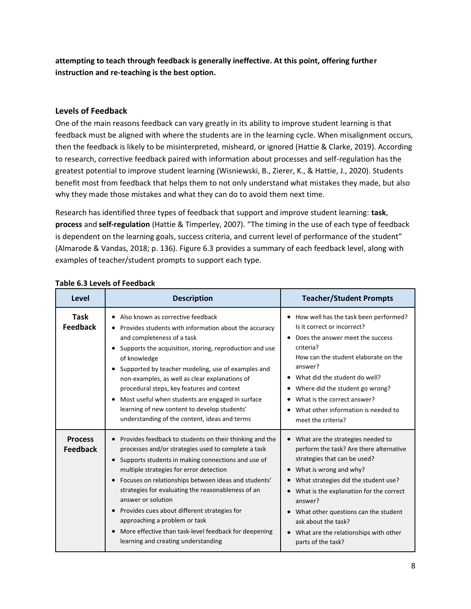**attempting to teach through feedback is generally ineffective. At this point, offering further instruction and re-teaching is the best option.**

#### **Levels of Feedback**

One of the main reasons feedback can vary greatly in its ability to improve student learning is that feedback must be aligned with where the students are in the learning cycle. When misalignment occurs, then the feedback is likely to be misinterpreted, misheard, or ignored (Hattie & Clarke, 2019). According to research, corrective feedback paired with information about processes and self-regulation has the greatest potential to improve student learning (Wisniewski, B., Zierer, K., & Hattie, J., 2020). Students benefit most from feedback that helps them to not only understand what mistakes they made, but also why they made those mistakes and what they can do to avoid them next time.

Research has identified three types of feedback that support and improve student learning: **task**, **process** and **self-regulation** (Hattie & Timperley, 2007). "The timing in the use of each type of feedback is dependent on the learning goals, success criteria, and current level of performance of the student" (Almarode & Vandas, 2018; p. 136). Figure 6.3 provides a summary of each feedback level, along with examples of teacher/student prompts to support each type.

| Level                             | <b>Description</b>                                                                                                                                                                                                                                                                                                                                                                                                                                                                                                                   | <b>Teacher/Student Prompts</b>                                                                                                                                                                                                                                                                                                                                             |
|-----------------------------------|--------------------------------------------------------------------------------------------------------------------------------------------------------------------------------------------------------------------------------------------------------------------------------------------------------------------------------------------------------------------------------------------------------------------------------------------------------------------------------------------------------------------------------------|----------------------------------------------------------------------------------------------------------------------------------------------------------------------------------------------------------------------------------------------------------------------------------------------------------------------------------------------------------------------------|
| Task<br><b>Feedback</b>           | Also known as corrective feedback<br>Provides students with information about the accuracy<br>and completeness of a task<br>Supports the acquisition, storing, reproduction and use<br>of knowledge<br>Supported by teacher modeling, use of examples and<br>non-examples, as well as clear explanations of<br>procedural steps, key features and context<br>Most useful when students are engaged in surface<br>learning of new content to develop students'<br>understanding of the content, ideas and terms                       | How well has the task been performed?<br>٠<br>Is it correct or incorrect?<br>Does the answer meet the success<br>criteria?<br>How can the student elaborate on the<br>answer?<br>• What did the student do well?<br>• Where did the student go wrong?<br>What is the correct answer?<br>٠<br>What other information is needed to<br>meet the criteria?                     |
| <b>Process</b><br><b>Feedback</b> | Provides feedback to students on their thinking and the<br>processes and/or strategies used to complete a task<br>Supports students in making connections and use of<br>multiple strategies for error detection<br>Focuses on relationships between ideas and students'<br>strategies for evaluating the reasonableness of an<br>answer or solution<br>Provides cues about different strategies for<br>approaching a problem or task<br>More effective than task-level feedback for deepening<br>learning and creating understanding | • What are the strategies needed to<br>perform the task? Are there alternative<br>strategies that can be used?<br>• What is wrong and why?<br>• What strategies did the student use?<br>What is the explanation for the correct<br>answer?<br>What other questions can the student<br>ask about the task?<br>• What are the relationships with other<br>parts of the task? |

#### **Table 6.3 Levels of Feedback**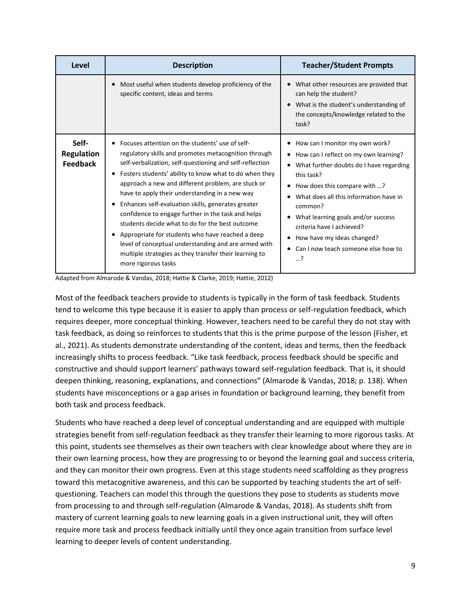| Level                                         | <b>Description</b>                                                                                                                                                                                                                                                                                                                                                                                                                                                                                                                                                                                                                                                                                | <b>Teacher/Student Prompts</b>                                                                                                                                                                                                                                                                                                                                                 |
|-----------------------------------------------|---------------------------------------------------------------------------------------------------------------------------------------------------------------------------------------------------------------------------------------------------------------------------------------------------------------------------------------------------------------------------------------------------------------------------------------------------------------------------------------------------------------------------------------------------------------------------------------------------------------------------------------------------------------------------------------------------|--------------------------------------------------------------------------------------------------------------------------------------------------------------------------------------------------------------------------------------------------------------------------------------------------------------------------------------------------------------------------------|
|                                               | Most useful when students develop proficiency of the<br>specific content, ideas and terms                                                                                                                                                                                                                                                                                                                                                                                                                                                                                                                                                                                                         | What other resources are provided that<br>can help the student?<br>What is the student's understanding of<br>$\bullet$<br>the concepts/knowledge related to the<br>task?                                                                                                                                                                                                       |
| Self-<br><b>Regulation</b><br><b>Feedback</b> | Focuses attention on the students' use of self-<br>regulatory skills and promotes metacognition through<br>self-verbalization, self-questioning and self-reflection<br>Fosters students' ability to know what to do when they<br>approach a new and different problem, are stuck or<br>have to apply their understanding in a new way<br>Enhances self-evaluation skills, generates greater<br>confidence to engage further in the task and helps<br>students decide what to do for the best outcome<br>Appropriate for students who have reached a deep<br>level of conceptual understanding and are armed with<br>multiple strategies as they transfer their learning to<br>more rigorous tasks | How can I monitor my own work?<br>How can I reflect on my own learning?<br>What further doubts do I have regarding<br>$\bullet$<br>this task?<br>How does this compare with ?<br>What does all this information have in<br>common?<br>What learning goals and/or success<br>criteria have Lachieved?<br>How have my ideas changed?<br>Can I now teach someone else how to<br>? |

Adapted from Almarode & Vandas, 2018; Hattie & Clarke, 2019; Hattie, 2012)

Most of the feedback teachers provide to students is typically in the form of task feedback. Students tend to welcome this type because it is easier to apply than process or self-regulation feedback, which requires deeper, more conceptual thinking. However, teachers need to be careful they do not stay with task feedback, as doing so reinforces to students that this is the prime purpose of the lesson (Fisher, et al., 2021). As students demonstrate understanding of the content, ideas and terms, then the feedback increasingly shifts to process feedback. "Like task feedback, process feedback should be specific and constructive and should support learners' pathways toward self-regulation feedback. That is, it should deepen thinking, reasoning, explanations, and connections" (Almarode & Vandas, 2018; p. 138). When students have misconceptions or a gap arises in foundation or background learning, they benefit from both task and process feedback.

Students who have reached a deep level of conceptual understanding and are equipped with multiple strategies benefit from self-regulation feedback as they transfer their learning to more rigorous tasks. At this point, students see themselves as their own teachers with clear knowledge about where they are in their own learning process, how they are progressing to or beyond the learning goal and success criteria, and they can monitor their own progress. Even at this stage students need scaffolding as they progress toward this metacognitive awareness, and this can be supported by teaching students the art of selfquestioning. Teachers can model this through the questions they pose to students as students move from processing to and through self-regulation (Almarode & Vandas, 2018). As students shift from mastery of current learning goals to new learning goals in a given instructional unit, they will often require more task and process feedback initially until they once again transition from surface level learning to deeper levels of content understanding.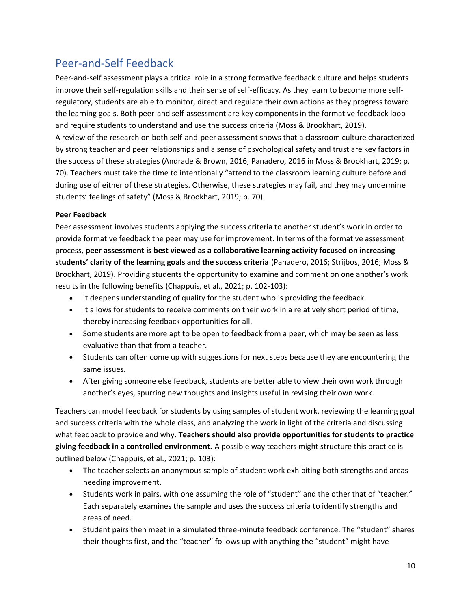# Peer-and-Self Feedback

Peer-and-self assessment plays a critical role in a strong formative feedback culture and helps students improve their self-regulation skills and their sense of self-efficacy. As they learn to become more selfregulatory, students are able to monitor, direct and regulate their own actions as they progress toward the learning goals. Both peer-and self-assessment are key components in the formative feedback loop and require students to understand and use the success criteria (Moss & Brookhart, 2019). A review of the research on both self-and-peer assessment shows that a classroom culture characterized by strong teacher and peer relationships and a sense of psychological safety and trust are key factors in the success of these strategies (Andrade & Brown, 2016; Panadero, 2016 in Moss & Brookhart, 2019; p. 70). Teachers must take the time to intentionally "attend to the classroom learning culture before and during use of either of these strategies. Otherwise, these strategies may fail, and they may undermine students' feelings of safety" (Moss & Brookhart, 2019; p. 70).

#### **Peer Feedback**

Peer assessment involves students applying the success criteria to another student's work in order to provide formative feedback the peer may use for improvement. In terms of the formative assessment process, **peer assessment is best viewed as a collaborative learning activity focused on increasing students' clarity of the learning goals and the success criteria** (Panadero, 2016; Strijbos, 2016; Moss & Brookhart, 2019). Providing students the opportunity to examine and comment on one another's work results in the following benefits (Chappuis, et al., 2021; p. 102-103):

- It deepens understanding of quality for the student who is providing the feedback.
- It allows for students to receive comments on their work in a relatively short period of time, thereby increasing feedback opportunities for all.
- Some students are more apt to be open to feedback from a peer, which may be seen as less evaluative than that from a teacher.
- Students can often come up with suggestions for next steps because they are encountering the same issues.
- After giving someone else feedback, students are better able to view their own work through another's eyes, spurring new thoughts and insights useful in revising their own work.

Teachers can model feedback for students by using samples of student work, reviewing the learning goal and success criteria with the whole class, and analyzing the work in light of the criteria and discussing what feedback to provide and why. **Teachers should also provide opportunities for students to practice giving feedback in a controlled environment.** A possible way teachers might structure this practice is outlined below (Chappuis, et al., 2021; p. 103):

- The teacher selects an anonymous sample of student work exhibiting both strengths and areas needing improvement.
- Students work in pairs, with one assuming the role of "student" and the other that of "teacher." Each separately examines the sample and uses the success criteria to identify strengths and areas of need.
- Student pairs then meet in a simulated three-minute feedback conference. The "student" shares their thoughts first, and the "teacher" follows up with anything the "student" might have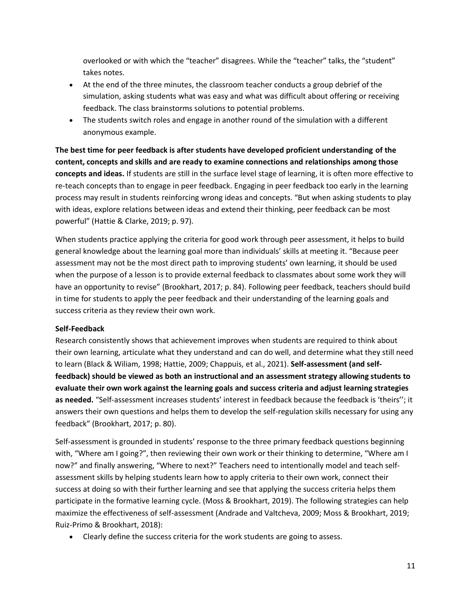overlooked or with which the "teacher" disagrees. While the "teacher" talks, the "student" takes notes.

- At the end of the three minutes, the classroom teacher conducts a group debrief of the simulation, asking students what was easy and what was difficult about offering or receiving feedback. The class brainstorms solutions to potential problems.
- The students switch roles and engage in another round of the simulation with a different anonymous example.

**The best time for peer feedback is after students have developed proficient understanding of the content, concepts and skills and are ready to examine connections and relationships among those concepts and ideas.** If students are still in the surface level stage of learning, it is often more effective to re-teach concepts than to engage in peer feedback. Engaging in peer feedback too early in the learning process may result in students reinforcing wrong ideas and concepts. "But when asking students to play with ideas, explore relations between ideas and extend their thinking, peer feedback can be most powerful" (Hattie & Clarke, 2019; p. 97).

When students practice applying the criteria for good work through peer assessment, it helps to build general knowledge about the learning goal more than individuals' skills at meeting it. "Because peer assessment may not be the most direct path to improving students' own learning, it should be used when the purpose of a lesson is to provide external feedback to classmates about some work they will have an opportunity to revise" (Brookhart, 2017; p. 84). Following peer feedback, teachers should build in time for students to apply the peer feedback and their understanding of the learning goals and success criteria as they review their own work.

#### **Self-Feedback**

Research consistently shows that achievement improves when students are required to think about their own learning, articulate what they understand and can do well, and determine what they still need to learn (Black & Wiliam, 1998; Hattie, 2009; Chappuis, et al., 2021). **Self-assessment (and selffeedback) should be viewed as both an instructional and an assessment strategy allowing students to evaluate their own work against the learning goals and success criteria and adjust learning strategies as needed.** "Self-assessment increases students' interest in feedback because the feedback is 'theirs''; it answers their own questions and helps them to develop the self-regulation skills necessary for using any feedback" (Brookhart, 2017; p. 80).

Self-assessment is grounded in students' response to the three primary feedback questions beginning with, "Where am I going?", then reviewing their own work or their thinking to determine, "Where am I now?" and finally answering, "Where to next?" Teachers need to intentionally model and teach selfassessment skills by helping students learn how to apply criteria to their own work, connect their success at doing so with their further learning and see that applying the success criteria helps them participate in the formative learning cycle. (Moss & Brookhart, 2019). The following strategies can help maximize the effectiveness of self-assessment (Andrade and Valtcheva, 2009; Moss & Brookhart, 2019; Ruiz-Primo & Brookhart, 2018):

• Clearly define the success criteria for the work students are going to assess.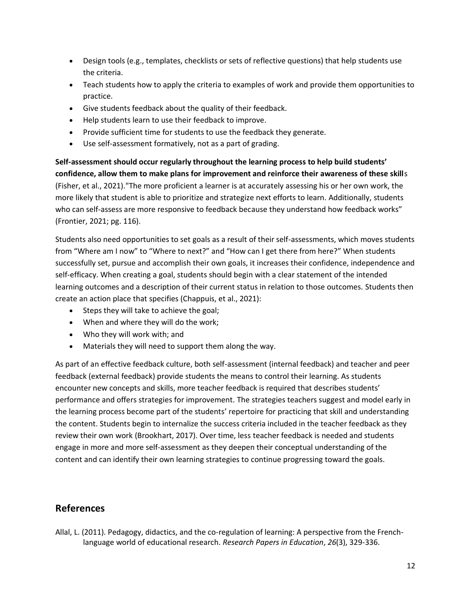- Design tools (e.g., templates, checklists or sets of reflective questions) that help students use the criteria.
- Teach students how to apply the criteria to examples of work and provide them opportunities to practice.
- Give students feedback about the quality of their feedback.
- Help students learn to use their feedback to improve.
- Provide sufficient time for students to use the feedback they generate.
- Use self-assessment formatively, not as a part of grading.

**Self-assessment should occur regularly throughout the learning process to help build students' confidence, allow them to make plans for improvement and reinforce their awareness of these skill**s (Fisher, et al., 2021)."The more proficient a learner is at accurately assessing his or her own work, the more likely that student is able to prioritize and strategize next efforts to learn. Additionally, students who can self-assess are more responsive to feedback because they understand how feedback works" (Frontier, 2021; pg. 116).

Students also need opportunities to set goals as a result of their self-assessments, which moves students from "Where am I now" to "Where to next?" and "How can I get there from here?" When students successfully set, pursue and accomplish their own goals, it increases their confidence, independence and self-efficacy. When creating a goal, students should begin with a clear statement of the intended learning outcomes and a description of their current status in relation to those outcomes. Students then create an action place that specifies (Chappuis, et al., 2021):

- Steps they will take to achieve the goal;
- When and where they will do the work;
- Who they will work with; and
- Materials they will need to support them along the way.

As part of an effective feedback culture, both self-assessment (internal feedback) and teacher and peer feedback (external feedback) provide students the means to control their learning. As students encounter new concepts and skills, more teacher feedback is required that describes students' performance and offers strategies for improvement. The strategies teachers suggest and model early in the learning process become part of the students' repertoire for practicing that skill and understanding the content. Students begin to internalize the success criteria included in the teacher feedback as they review their own work (Brookhart, 2017). Over time, less teacher feedback is needed and students engage in more and more self-assessment as they deepen their conceptual understanding of the content and can identify their own learning strategies to continue progressing toward the goals.

### **References**

Allal, L. (2011). Pedagogy, didactics, and the co-regulation of learning: A perspective from the Frenchlanguage world of educational research. *Research Papers in Education*, *26*(3), 329-336.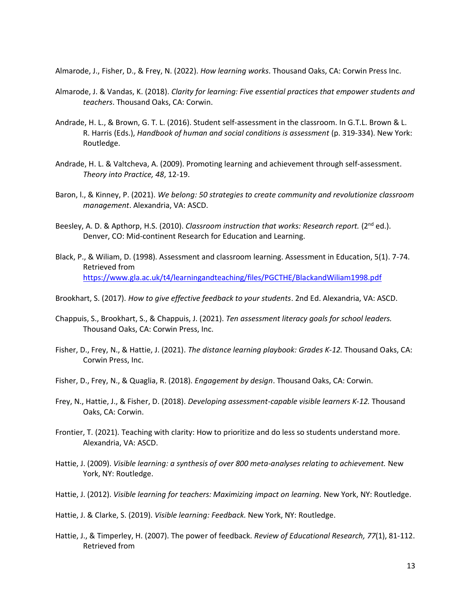Almarode, J., Fisher, D., & Frey, N. (2022). *How learning works*. Thousand Oaks, CA: Corwin Press Inc.

- Almarode, J. & Vandas, K. (2018). *Clarity for learning: Five essential practices that empower students and teachers*. Thousand Oaks, CA: Corwin.
- Andrade, H. L., & Brown, G. T. L. (2016). Student self-assessment in the classroom. In G.T.L. Brown & L. R. Harris (Eds.), *Handbook of human and social conditions is assessment* (p. 319-334). New York: Routledge.
- Andrade, H. L. & Valtcheva, A. (2009). Promoting learning and achievement through self-assessment. *Theory into Practice, 48*, 12-19.
- Baron, l., & Kinney, P. (2021). *We belong: 50 strategies to create community and revolutionize classroom management*. Alexandria, VA: ASCD.
- Beesley, A. D. & Apthorp, H.S. (2010). *Classroom instruction that works: Research report.* (2nd ed.). Denver, CO: Mid-continent Research for Education and Learning.
- Black, P., & Wiliam, D. (1998). Assessment and classroom learning. Assessment in Education, 5(1). 7-74. Retrieved from <https://www.gla.ac.uk/t4/learningandteaching/files/PGCTHE/BlackandWiliam1998.pdf>
- Brookhart, S. (2017). *How to give effective feedback to your students*. 2nd Ed. Alexandria, VA: ASCD.
- Chappuis, S., Brookhart, S., & Chappuis, J. (2021). *Ten assessment literacy goals for school leaders.* Thousand Oaks, CA: Corwin Press, Inc.
- Fisher, D., Frey, N., & Hattie, J. (2021). *The distance learning playbook: Grades K-12.* Thousand Oaks, CA: Corwin Press, Inc.
- Fisher, D., Frey, N., & Quaglia, R. (2018). *Engagement by design*. Thousand Oaks, CA: Corwin.
- Frey, N., Hattie, J., & Fisher, D. (2018). *Developing assessment-capable visible learners K-12.* Thousand Oaks, CA: Corwin.
- Frontier, T. (2021). Teaching with clarity: How to prioritize and do less so students understand more. Alexandria, VA: ASCD.
- Hattie, J. (2009). *Visible learning: a synthesis of over 800 meta-analyses relating to achievement.* New York, NY: Routledge.
- Hattie, J. (2012). *Visible learning for teachers: Maximizing impact on learning.* New York, NY: Routledge.
- Hattie, J. & Clarke, S. (2019). *Visible learning: Feedback.* New York, NY: Routledge.
- Hattie, J., & Timperley, H. (2007). The power of feedback. *Review of Educational Research, 77*(1), 81-112. Retrieved from